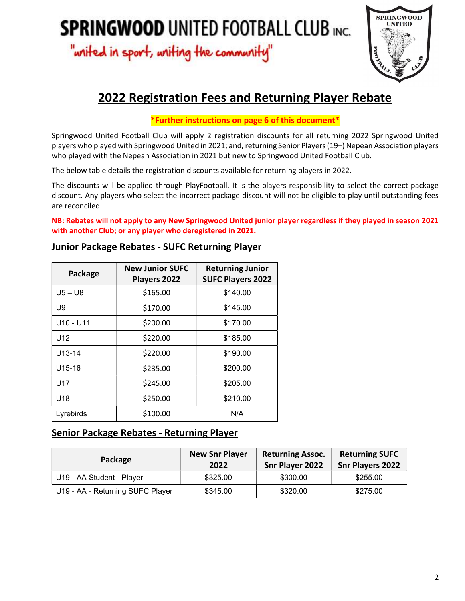"writed in sport, writing the community"



# 2022 Registration Fees and Returning Player Rebate

## \*Further instructions on page 6 of this document\*

Springwood United Football Club will apply 2 registration discounts for all returning 2022 Springwood United players who played with Springwood United in 2021; and, returning Senior Players (19+) Nepean Association players who played with the Nepean Association in 2021 but new to Springwood United Football Club.

The below table details the registration discounts available for returning players in 2022.

The discounts will be applied through PlayFootball. It is the players responsibility to select the correct package discount. Any players who select the incorrect package discount will not be eligible to play until outstanding fees are reconciled.

NB: Rebates will not apply to any New Springwood United junior player regardless if they played in season 2021 with another Club; or any player who deregistered in 2021.

| Package            | <b>New Junior SUFC</b><br>Players 2022 | <b>Returning Junior</b><br><b>SUFC Players 2022</b> |
|--------------------|----------------------------------------|-----------------------------------------------------|
| $U5 - U8$          | \$165.00                               | \$140.00                                            |
| U9                 | \$170.00                               | \$145.00                                            |
| U10 - U11          | \$200.00                               | \$170.00                                            |
| U <sub>12</sub>    | \$220.00                               | \$185.00                                            |
| U13-14             | \$220.00                               | \$190.00                                            |
| U <sub>15-16</sub> | \$235.00                               | \$200.00                                            |
| U17                | \$245.00                               | \$205.00                                            |
| U <sub>18</sub>    | \$250.00                               | \$210.00                                            |
| Lyrebirds          | \$100.00                               | N/A                                                 |

## Junior Package Rebates - SUFC Returning Player

# Senior Package Rebates - Returning Player

| Package                          | <b>New Snr Player</b><br>2022 | <b>Returning Assoc.</b><br>Snr Player 2022 | <b>Returning SUFC</b><br><b>Snr Players 2022</b> |
|----------------------------------|-------------------------------|--------------------------------------------|--------------------------------------------------|
| U19 - AA Student - Player        | \$325.00                      | \$300.00                                   | \$255.00                                         |
| U19 - AA - Returning SUFC Player | \$345.00                      | \$320.00                                   | \$275.00                                         |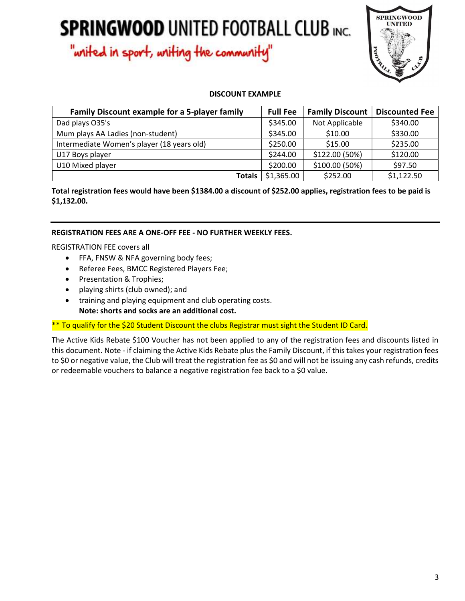"writed in sport, writing the community"



### DISCOUNT EXAMPLE

| Family Discount example for a 5-player family | <b>Full Fee</b> | <b>Family Discount</b> | <b>Discounted Fee</b> |
|-----------------------------------------------|-----------------|------------------------|-----------------------|
| Dad plays O35's                               | \$345.00        | Not Applicable         | \$340.00              |
| Mum plays AA Ladies (non-student)             | \$345.00        | \$10.00                | \$330.00              |
| Intermediate Women's player (18 years old)    | \$250.00        | \$15.00                | \$235.00              |
| U17 Boys player                               | \$244.00        | \$122.00 (50%)         | \$120.00              |
| U10 Mixed player                              | \$200.00        | \$100.00 (50%)         | \$97.50               |
| <b>Totals</b>                                 | \$1,365.00      | \$252.00               | \$1,122.50            |

Total registration fees would have been \$1384.00 a discount of \$252.00 applies, registration fees to be paid is \$1,132.00.

### REGISTRATION FEES ARE A ONE-OFF FEE - NO FURTHER WEEKLY FEES.

REGISTRATION FEE covers all

- FFA, FNSW & NFA governing body fees;
- Referee Fees, BMCC Registered Players Fee;
- Presentation & Trophies;
- playing shirts (club owned); and
- training and playing equipment and club operating costs. Note: shorts and socks are an additional cost.

\*\* To qualify for the \$20 Student Discount the clubs Registrar must sight the Student ID Card.

The Active Kids Rebate \$100 Voucher has not been applied to any of the registration fees and discounts listed in this document. Note - if claiming the Active Kids Rebate plus the Family Discount, if this takes your registration fees to \$0 or negative value, the Club will treat the registration fee as \$0 and will not be issuing any cash refunds, credits or redeemable vouchers to balance a negative registration fee back to a \$0 value.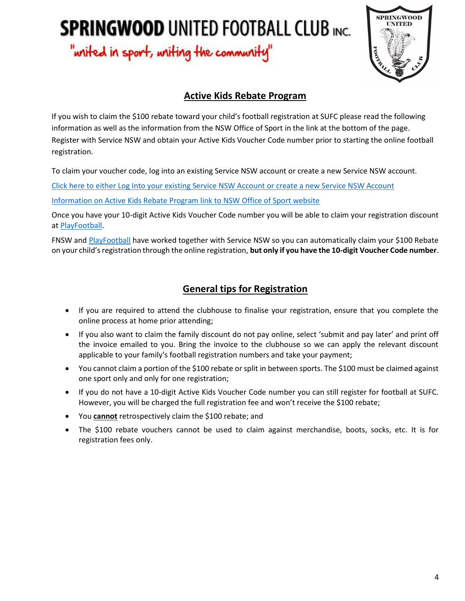"writed in sport, writing the community"



# Active Kids Rebate Program

If you wish to claim the \$100 rebate toward your child's football registration at SUFC please read the following information as well as the information from the NSW Office of Sport in the link at the bottom of the page. Register with Service NSW and obtain your Active Kids Voucher Code number prior to starting the online football registration.

To claim your voucher code, log into an existing Service NSW account or create a new Service NSW account.

[Click here to either Log Into your existing Service NSW Account or create a new Service NSW Account](https://my.service.nsw.gov.au/MyServiceNSW/goto?goto=eyJkaWFsb2dOYW1lIjoiT09TQUtfVm91Y2hlclJlcXVlc3RfRW50cnlfRGlhbG9nIn0=)

[Information on Active Kids Rebate Program link to NSW Office of Sport website](https://www.sport.nsw.gov.au/active-kids)

Once you have your 10-digit Active Kids Voucher Code number you will be able to claim your registration discount at PlayFootball.

FNSW and PlayFootball have worked together with Service NSW so you can automatically claim your \$100 Rebate on your child's registration through the online registration, but only if you have the 10-digit Voucher Code number.

# General tips for Registration

- If you are required to attend the clubhouse to finalise your registration, ensure that you complete the online process at home prior attending;
- If you also want to claim the family discount do not pay online, select 'submit and pay later' and print off the invoice emailed to you. Bring the invoice to the clubhouse so we can apply the relevant discount applicable to your family's football registration numbers and take your payment;
- You cannot claim a portion of the \$100 rebate or split in between sports. The \$100 must be claimed against one sport only and only for one registration;
- If you do not have a 10-digit Active Kids Voucher Code number you can still register for football at SUFC. However, you will be charged the full registration fee and won't receive the \$100 rebate;
- You **cannot** retrospectively claim the \$100 rebate; and
- The \$100 rebate vouchers cannot be used to claim against merchandise, boots, socks, etc. It is for registration fees only.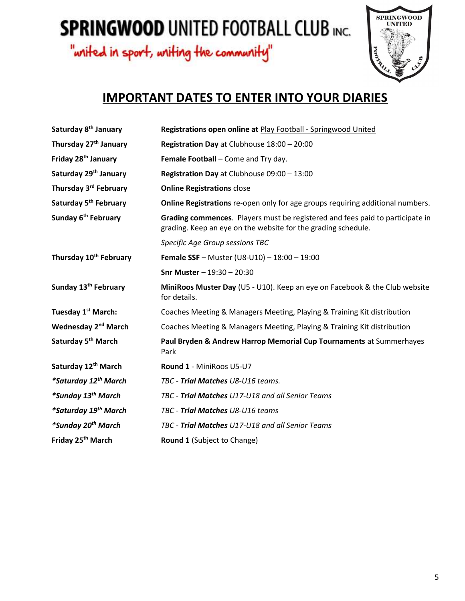"writed in sport, writing the community"



# IMPORTANT DATES TO ENTER INTO YOUR DIARIES

| Saturday 8 <sup>th</sup> January   | Registrations open online at Play Football - Springwood United                                                                                 |
|------------------------------------|------------------------------------------------------------------------------------------------------------------------------------------------|
| Thursday 27 <sup>th</sup> January  | Registration Day at Clubhouse 18:00 - 20:00                                                                                                    |
| Friday 28 <sup>th</sup> January    | Female Football - Come and Try day.                                                                                                            |
| Saturday 29 <sup>th</sup> January  | Registration Day at Clubhouse 09:00 - 13:00                                                                                                    |
| Thursday 3rd February              | <b>Online Registrations close</b>                                                                                                              |
| Saturday 5 <sup>th</sup> February  | Online Registrations re-open only for age groups requiring additional numbers.                                                                 |
| Sunday 6 <sup>th</sup> February    | Grading commences. Players must be registered and fees paid to participate in<br>grading. Keep an eye on the website for the grading schedule. |
|                                    | Specific Age Group sessions TBC                                                                                                                |
| Thursday 10 <sup>th</sup> February | <b>Female SSF</b> - Muster (U8-U10) - $18:00 - 19:00$                                                                                          |
|                                    | <b>Snr Muster</b> $- 19:30 - 20:30$                                                                                                            |
| Sunday 13 <sup>th</sup> February   | MiniRoos Muster Day (U5 - U10). Keep an eye on Facebook & the Club website<br>for details.                                                     |
| Tuesday 1 <sup>st</sup> March:     | Coaches Meeting & Managers Meeting, Playing & Training Kit distribution                                                                        |
| Wednesday 2 <sup>nd</sup> March    | Coaches Meeting & Managers Meeting, Playing & Training Kit distribution                                                                        |
| Saturday 5 <sup>th</sup> March     | Paul Bryden & Andrew Harrop Memorial Cup Tournaments at Summerhayes<br>Park                                                                    |
| Saturday 12 <sup>th</sup> March    | Round 1 - MiniRoos U5-U7                                                                                                                       |
| *Saturday 12 <sup>th</sup> March   | TBC - Trial Matches U8-U16 teams.                                                                                                              |
| *Sunday 13 <sup>th</sup> March     | TBC - Trial Matches U17-U18 and all Senior Teams                                                                                               |
| *Saturday 19 <sup>th</sup> March   | TBC - Trial Matches U8-U16 teams                                                                                                               |
| *Sunday 20 <sup>th</sup> March     | TBC - Trial Matches U17-U18 and all Senior Teams                                                                                               |
| Friday 25 <sup>th</sup> March      | Round 1 (Subject to Change)                                                                                                                    |